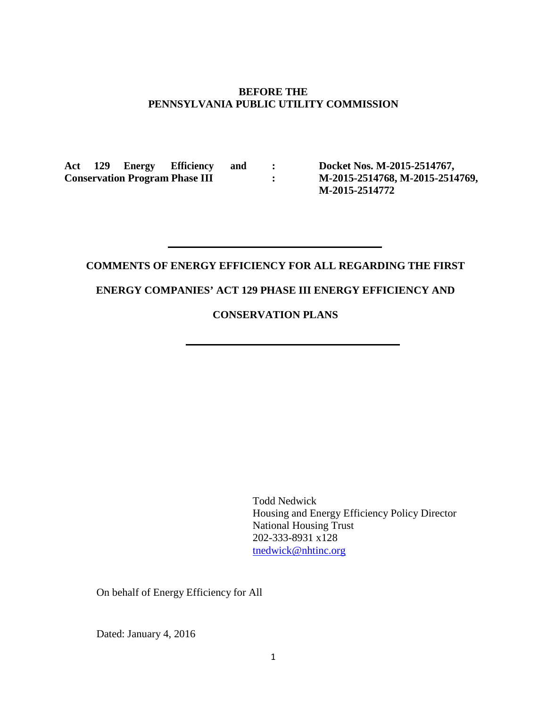### **BEFORE THE PENNSYLVANIA PUBLIC UTILITY COMMISSION**

**Act 129 Energy Efficiency and : Conservation Program Phase III :**

**Docket Nos. M-2015-2514767, M-2015-2514768, M-2015-2514769, M-2015-2514772**

# **COMMENTS OF ENERGY EFFICIENCY FOR ALL REGARDING THE FIRST**

## **ENERGY COMPANIES' ACT 129 PHASE III ENERGY EFFICIENCY AND**

## **CONSERVATION PLANS**

Todd Nedwick Housing and Energy Efficiency Policy Director National Housing Trust 202-333-8931 x128 [tnedwick@nhtinc.org](mailto:tnedwick@nhtinc.org)

On behalf of Energy Efficiency for All

Dated: January 4, 2016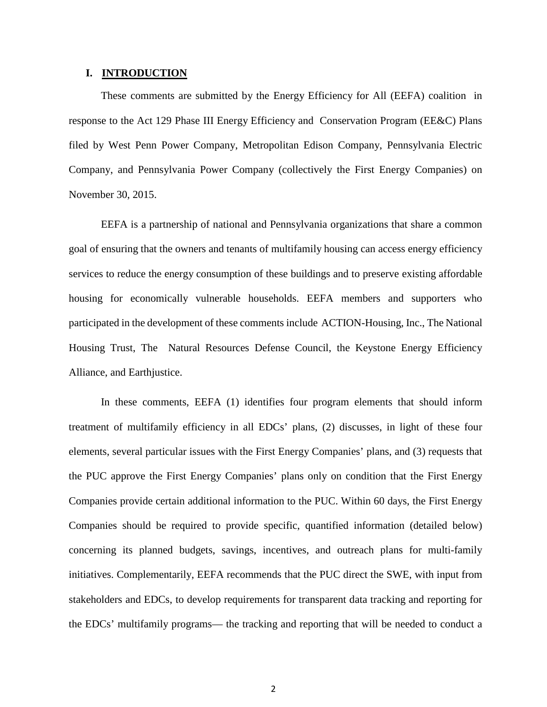## **I. INTRODUCTION**

These comments are submitted by the Energy Efficiency for All (EEFA) coalition in response to the Act 129 Phase III Energy Efficiency and Conservation Program (EE&C) Plans filed by West Penn Power Company, Metropolitan Edison Company, Pennsylvania Electric Company, and Pennsylvania Power Company (collectively the First Energy Companies) on November 30, 2015.

EEFA is a partnership of national and Pennsylvania organizations that share a common goal of ensuring that the owners and tenants of multifamily housing can access energy efficiency services to reduce the energy consumption of these buildings and to preserve existing affordable housing for economically vulnerable households. EEFA members and supporters who participated in the development of these comments include ACTION-Housing, Inc., The National Housing Trust, The Natural Resources Defense Council, the Keystone Energy Efficiency Alliance, and Earthjustice.

In these comments, EEFA (1) identifies four program elements that should inform treatment of multifamily efficiency in all EDCs' plans, (2) discusses, in light of these four elements, several particular issues with the First Energy Companies' plans, and (3) requests that the PUC approve the First Energy Companies' plans only on condition that the First Energy Companies provide certain additional information to the PUC. Within 60 days, the First Energy Companies should be required to provide specific, quantified information (detailed below) concerning its planned budgets, savings, incentives, and outreach plans for multi-family initiatives. Complementarily, EEFA recommends that the PUC direct the SWE, with input from stakeholders and EDCs, to develop requirements for transparent data tracking and reporting for the EDCs' multifamily programs— the tracking and reporting that will be needed to conduct a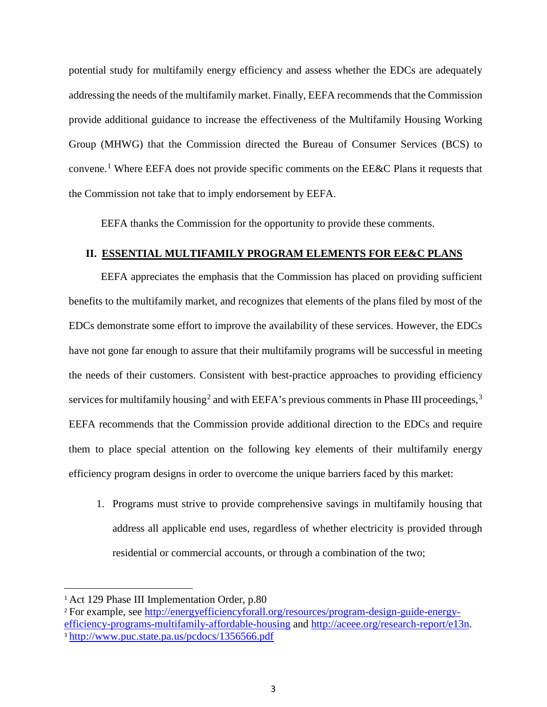potential study for multifamily energy efficiency and assess whether the EDCs are adequately addressing the needs of the multifamily market. Finally, EEFA recommends that the Commission provide additional guidance to increase the effectiveness of the Multifamily Housing Working Group (MHWG) that the Commission directed the Bureau of Consumer Services (BCS) to convene.<sup>[1](#page-2-0)</sup> Where EEFA does not provide specific comments on the EE&C Plans it requests that the Commission not take that to imply endorsement by EEFA.

EEFA thanks the Commission for the opportunity to provide these comments.

## **II. ESSENTIAL MULTIFAMILY PROGRAM ELEMENTS FOR EE&C PLANS**

EEFA appreciates the emphasis that the Commission has placed on providing sufficient benefits to the multifamily market, and recognizes that elements of the plans filed by most of the EDCs demonstrate some effort to improve the availability of these services. However, the EDCs have not gone far enough to assure that their multifamily programs will be successful in meeting the needs of their customers. Consistent with best-practice approaches to providing efficiency services for multifamily housing<sup>[2](#page-2-1)</sup> and with EEFA's previous comments in Phase III proceedings,<sup>[3](#page-2-2)</sup> EEFA recommends that the Commission provide additional direction to the EDCs and require them to place special attention on the following key elements of their multifamily energy efficiency program designs in order to overcome the unique barriers faced by this market:

1. Programs must strive to provide comprehensive savings in multifamily housing that address all applicable end uses, regardless of whether electricity is provided through residential or commercial accounts, or through a combination of the two;

<span id="page-2-0"></span><sup>&</sup>lt;sup>1</sup> Act 129 Phase III Implementation Order, p.80

<span id="page-2-2"></span><span id="page-2-1"></span><sup>2</sup> For example, see [http://energyefficiencyforall.org/resources/program-design-guide-energy](http://energyefficiencyforall.org/resources/program-design-guide-energy-efficiency-programs-multifamily-affordable-housing)[efficiency-programs-multifamily-affordable-housing](http://energyefficiencyforall.org/resources/program-design-guide-energy-efficiency-programs-multifamily-affordable-housing) and [http://aceee.org/research-report/e13n.](http://aceee.org/research-report/e13n) <sup>3</sup> <http://www.puc.state.pa.us/pcdocs/1356566.pdf>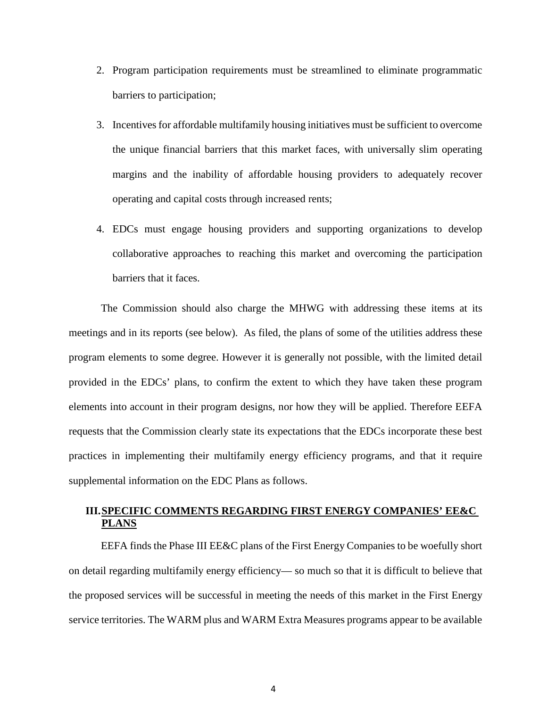- 2. Program participation requirements must be streamlined to eliminate programmatic barriers to participation;
- 3. Incentivesfor affordable multifamily housing initiatives must be sufficient to overcome the unique financial barriers that this market faces, with universally slim operating margins and the inability of affordable housing providers to adequately recover operating and capital costs through increased rents;
- 4. EDCs must engage housing providers and supporting organizations to develop collaborative approaches to reaching this market and overcoming the participation barriers that it faces.

The Commission should also charge the MHWG with addressing these items at its meetings and in its reports (see below). As filed, the plans of some of the utilities address these program elements to some degree. However it is generally not possible, with the limited detail provided in the EDCs' plans, to confirm the extent to which they have taken these program elements into account in their program designs, nor how they will be applied. Therefore EEFA requests that the Commission clearly state its expectations that the EDCs incorporate these best practices in implementing their multifamily energy efficiency programs, and that it require supplemental information on the EDC Plans as follows.

## **III.SPECIFIC COMMENTS REGARDING FIRST ENERGY COMPANIES' EE&C PLANS**

EEFA finds the Phase III EE&C plans of the First Energy Companies to be woefully short on detail regarding multifamily energy efficiency— so much so that it is difficult to believe that the proposed services will be successful in meeting the needs of this market in the First Energy service territories. The WARM plus and WARM Extra Measures programs appear to be available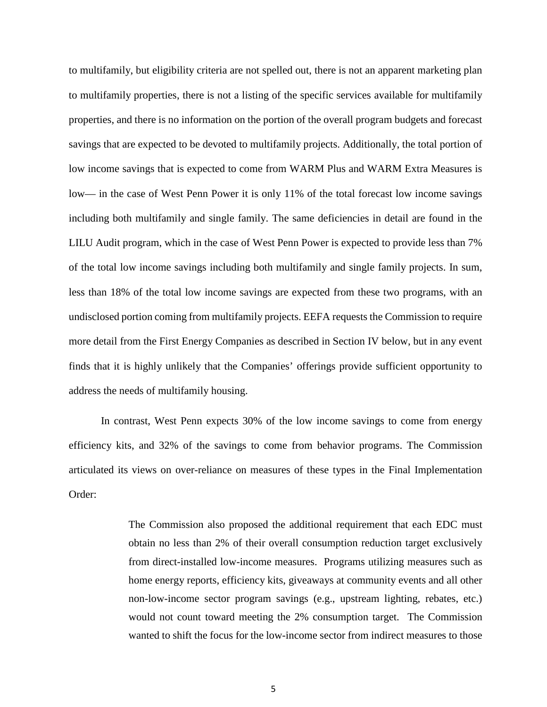to multifamily, but eligibility criteria are not spelled out, there is not an apparent marketing plan to multifamily properties, there is not a listing of the specific services available for multifamily properties, and there is no information on the portion of the overall program budgets and forecast savings that are expected to be devoted to multifamily projects. Additionally, the total portion of low income savings that is expected to come from WARM Plus and WARM Extra Measures is low— in the case of West Penn Power it is only 11% of the total forecast low income savings including both multifamily and single family. The same deficiencies in detail are found in the LILU Audit program, which in the case of West Penn Power is expected to provide less than 7% of the total low income savings including both multifamily and single family projects. In sum, less than 18% of the total low income savings are expected from these two programs, with an undisclosed portion coming from multifamily projects. EEFA requests the Commission to require more detail from the First Energy Companies as described in Section IV below, but in any event finds that it is highly unlikely that the Companies' offerings provide sufficient opportunity to address the needs of multifamily housing.

In contrast, West Penn expects 30% of the low income savings to come from energy efficiency kits, and 32% of the savings to come from behavior programs. The Commission articulated its views on over-reliance on measures of these types in the Final Implementation Order:

> The Commission also proposed the additional requirement that each EDC must obtain no less than 2% of their overall consumption reduction target exclusively from direct-installed low-income measures. Programs utilizing measures such as home energy reports, efficiency kits, giveaways at community events and all other non-low-income sector program savings (e.g., upstream lighting, rebates, etc.) would not count toward meeting the 2% consumption target. The Commission wanted to shift the focus for the low-income sector from indirect measures to those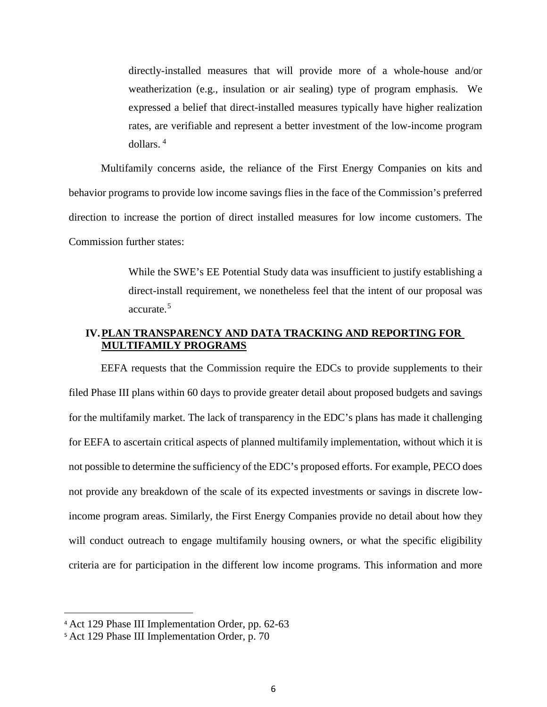directly-installed measures that will provide more of a whole-house and/or weatherization (e.g., insulation or air sealing) type of program emphasis. We expressed a belief that direct-installed measures typically have higher realization rates, are verifiable and represent a better investment of the low-income program dollars. [4](#page-5-0)

Multifamily concerns aside, the reliance of the First Energy Companies on kits and behavior programs to provide low income savings flies in the face of the Commission's preferred direction to increase the portion of direct installed measures for low income customers. The Commission further states:

> While the SWE's EE Potential Study data was insufficient to justify establishing a direct-install requirement, we nonetheless feel that the intent of our proposal was accurate.[5](#page-5-1)

## **IV.PLAN TRANSPARENCY AND DATA TRACKING AND REPORTING FOR MULTIFAMILY PROGRAMS**

EEFA requests that the Commission require the EDCs to provide supplements to their filed Phase III plans within 60 days to provide greater detail about proposed budgets and savings for the multifamily market. The lack of transparency in the EDC's plans has made it challenging for EEFA to ascertain critical aspects of planned multifamily implementation, without which it is not possible to determine the sufficiency of the EDC's proposed efforts. For example, PECO does not provide any breakdown of the scale of its expected investments or savings in discrete lowincome program areas. Similarly, the First Energy Companies provide no detail about how they will conduct outreach to engage multifamily housing owners, or what the specific eligibility criteria are for participation in the different low income programs. This information and more

<span id="page-5-0"></span> <sup>4</sup> Act 129 Phase III Implementation Order, pp. 62-63

<span id="page-5-1"></span><sup>5</sup> Act 129 Phase III Implementation Order, p. 70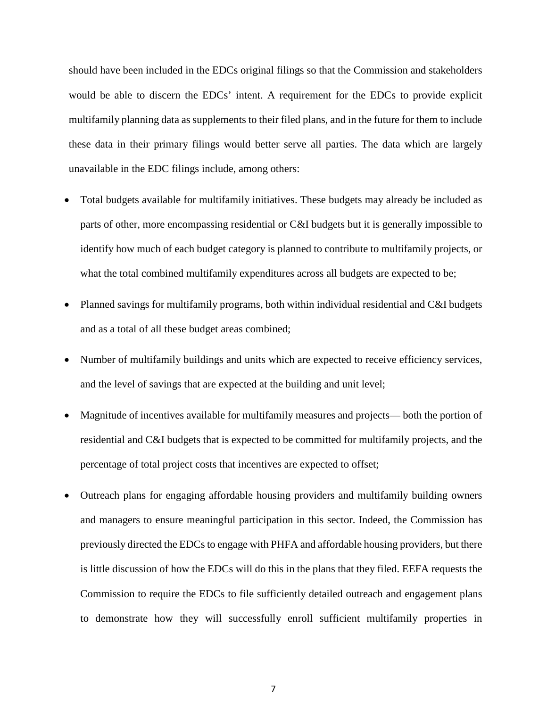should have been included in the EDCs original filings so that the Commission and stakeholders would be able to discern the EDCs' intent. A requirement for the EDCs to provide explicit multifamily planning data as supplements to their filed plans, and in the future for them to include these data in their primary filings would better serve all parties. The data which are largely unavailable in the EDC filings include, among others:

- Total budgets available for multifamily initiatives. These budgets may already be included as parts of other, more encompassing residential or C&I budgets but it is generally impossible to identify how much of each budget category is planned to contribute to multifamily projects, or what the total combined multifamily expenditures across all budgets are expected to be;
- Planned savings for multifamily programs, both within individual residential and C&I budgets and as a total of all these budget areas combined;
- Number of multifamily buildings and units which are expected to receive efficiency services, and the level of savings that are expected at the building and unit level;
- Magnitude of incentives available for multifamily measures and projects— both the portion of residential and C&I budgets that is expected to be committed for multifamily projects, and the percentage of total project costs that incentives are expected to offset;
- Outreach plans for engaging affordable housing providers and multifamily building owners and managers to ensure meaningful participation in this sector. Indeed, the Commission has previously directed the EDCs to engage with PHFA and affordable housing providers, but there is little discussion of how the EDCs will do this in the plans that they filed. EEFA requests the Commission to require the EDCs to file sufficiently detailed outreach and engagement plans to demonstrate how they will successfully enroll sufficient multifamily properties in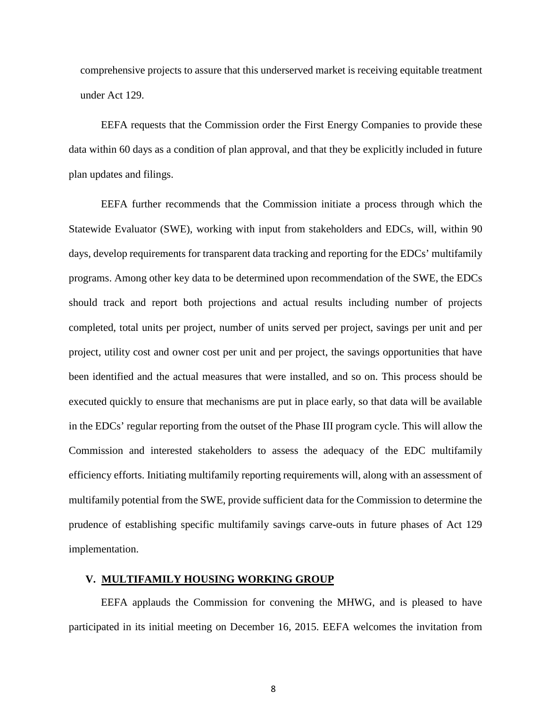comprehensive projects to assure that this underserved market is receiving equitable treatment under Act 129.

EEFA requests that the Commission order the First Energy Companies to provide these data within 60 days as a condition of plan approval, and that they be explicitly included in future plan updates and filings.

EEFA further recommends that the Commission initiate a process through which the Statewide Evaluator (SWE), working with input from stakeholders and EDCs, will, within 90 days, develop requirements for transparent data tracking and reporting for the EDCs' multifamily programs. Among other key data to be determined upon recommendation of the SWE, the EDCs should track and report both projections and actual results including number of projects completed, total units per project, number of units served per project, savings per unit and per project, utility cost and owner cost per unit and per project, the savings opportunities that have been identified and the actual measures that were installed, and so on. This process should be executed quickly to ensure that mechanisms are put in place early, so that data will be available in the EDCs' regular reporting from the outset of the Phase III program cycle. This will allow the Commission and interested stakeholders to assess the adequacy of the EDC multifamily efficiency efforts. Initiating multifamily reporting requirements will, along with an assessment of multifamily potential from the SWE, provide sufficient data for the Commission to determine the prudence of establishing specific multifamily savings carve-outs in future phases of Act 129 implementation.

#### **V. MULTIFAMILY HOUSING WORKING GROUP**

EEFA applauds the Commission for convening the MHWG, and is pleased to have participated in its initial meeting on December 16, 2015. EEFA welcomes the invitation from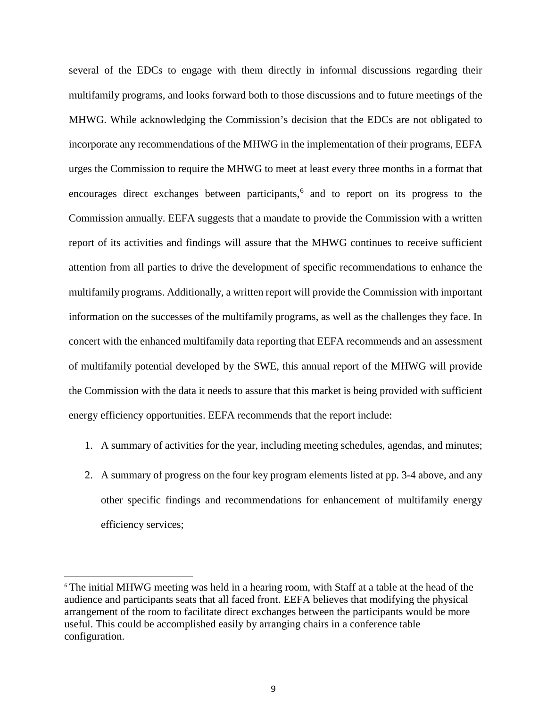several of the EDCs to engage with them directly in informal discussions regarding their multifamily programs, and looks forward both to those discussions and to future meetings of the MHWG. While acknowledging the Commission's decision that the EDCs are not obligated to incorporate any recommendations of the MHWG in the implementation of their programs, EEFA urges the Commission to require the MHWG to meet at least every three months in a format that encourages direct exchanges between participants, [6](#page-8-0) and to report on its progress to the Commission annually. EEFA suggests that a mandate to provide the Commission with a written report of its activities and findings will assure that the MHWG continues to receive sufficient attention from all parties to drive the development of specific recommendations to enhance the multifamily programs. Additionally, a written report will provide the Commission with important information on the successes of the multifamily programs, as well as the challenges they face. In concert with the enhanced multifamily data reporting that EEFA recommends and an assessment of multifamily potential developed by the SWE, this annual report of the MHWG will provide the Commission with the data it needs to assure that this market is being provided with sufficient energy efficiency opportunities. EEFA recommends that the report include:

- 1. A summary of activities for the year, including meeting schedules, agendas, and minutes;
- 2. A summary of progress on the four key program elements listed at pp. 3-4 above, and any other specific findings and recommendations for enhancement of multifamily energy efficiency services;

<span id="page-8-0"></span> <sup>6</sup> The initial MHWG meeting was held in a hearing room, with Staff at a table at the head of the audience and participants seats that all faced front. EEFA believes that modifying the physical arrangement of the room to facilitate direct exchanges between the participants would be more useful. This could be accomplished easily by arranging chairs in a conference table configuration.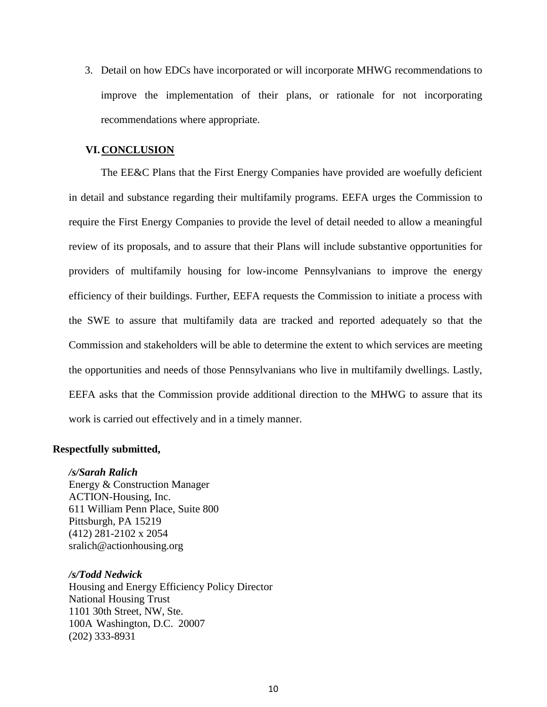3. Detail on how EDCs have incorporated or will incorporate MHWG recommendations to improve the implementation of their plans, or rationale for not incorporating recommendations where appropriate.

### **VI.CONCLUSION**

The EE&C Plans that the First Energy Companies have provided are woefully deficient in detail and substance regarding their multifamily programs. EEFA urges the Commission to require the First Energy Companies to provide the level of detail needed to allow a meaningful review of its proposals, and to assure that their Plans will include substantive opportunities for providers of multifamily housing for low-income Pennsylvanians to improve the energy efficiency of their buildings. Further, EEFA requests the Commission to initiate a process with the SWE to assure that multifamily data are tracked and reported adequately so that the Commission and stakeholders will be able to determine the extent to which services are meeting the opportunities and needs of those Pennsylvanians who live in multifamily dwellings. Lastly, EEFA asks that the Commission provide additional direction to the MHWG to assure that its work is carried out effectively and in a timely manner.

### **Respectfully submitted,**

#### */s/Sarah Ralich*

Energy & Construction Manager ACTION-Housing, Inc. 611 William Penn Place, Suite 800 Pittsburgh, PA 15219 (412) 281-2102 x 2054 [sralich@actionhousing.org](mailto:sralich@actionhousing.org)

#### */s/Todd Nedwick*

Housing and Energy Efficiency Policy Director National Housing Trust 1101 30th Street, NW, Ste. 100A Washington, D.C. 20007 (202) 333-8931